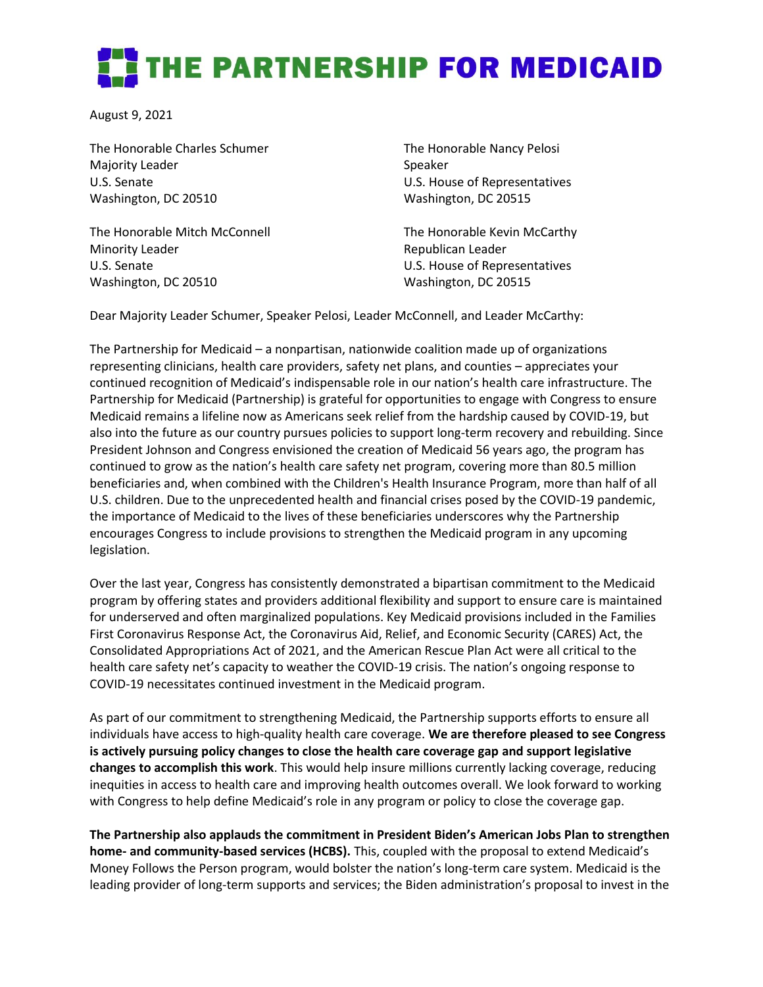## **THE PARTNERSHIP FOR MEDICAID**

August 9, 2021

The Honorable Charles Schumer Majority Leader U.S. Senate Washington, DC 20510

The Honorable Mitch McConnell Minority Leader U.S. Senate Washington, DC 20510

The Honorable Nancy Pelosi Speaker U.S. House of Representatives Washington, DC 20515

The Honorable Kevin McCarthy Republican Leader U.S. House of Representatives Washington, DC 20515

Dear Majority Leader Schumer, Speaker Pelosi, Leader McConnell, and Leader McCarthy:

The Partnership for Medicaid – a nonpartisan, nationwide coalition made up of organizations representing clinicians, health care providers, safety net plans, and counties – appreciates your continued recognition of Medicaid's indispensable role in our nation's health care infrastructure. The Partnership for Medicaid (Partnership) is grateful for opportunities to engage with Congress to ensure Medicaid remains a lifeline now as Americans seek relief from the hardship caused by COVID-19, but also into the future as our country pursues policies to support long-term recovery and rebuilding. Since President Johnson and Congress envisioned the creation of Medicaid 56 years ago, the program has continued to grow as the nation's health care safety net program, covering more than 80.5 million beneficiaries and, when combined with the Children's Health Insurance Program, more than half of all U.S. children. Due to the unprecedented health and financial crises posed by the COVID-19 pandemic, the importance of Medicaid to the lives of these beneficiaries underscores why the Partnership encourages Congress to include provisions to strengthen the Medicaid program in any upcoming legislation.

Over the last year, Congress has consistently demonstrated a bipartisan commitment to the Medicaid program by offering states and providers additional flexibility and support to ensure care is maintained for underserved and often marginalized populations. Key Medicaid provisions included in the Families First Coronavirus Response Act, the Coronavirus Aid, Relief, and Economic Security (CARES) Act, the Consolidated Appropriations Act of 2021, and the American Rescue Plan Act were all critical to the health care safety net's capacity to weather the COVID-19 crisis. The nation's ongoing response to COVID-19 necessitates continued investment in the Medicaid program.

As part of our commitment to strengthening Medicaid, the Partnership supports efforts to ensure all individuals have access to high-quality health care coverage. **We are therefore pleased to see Congress is actively pursuing policy changes to close the health care coverage gap and support legislative changes to accomplish this work**. This would help insure millions currently lacking coverage, reducing inequities in access to health care and improving health outcomes overall. We look forward to working with Congress to help define Medicaid's role in any program or policy to close the coverage gap.

**The Partnership also applauds the commitment in President Biden's American Jobs Plan to strengthen home- and community-based services (HCBS).** This, coupled with the proposal to extend Medicaid's Money Follows the Person program, would bolster the nation's long-term care system. Medicaid is the leading provider of long-term supports and services; the Biden administration's proposal to invest in the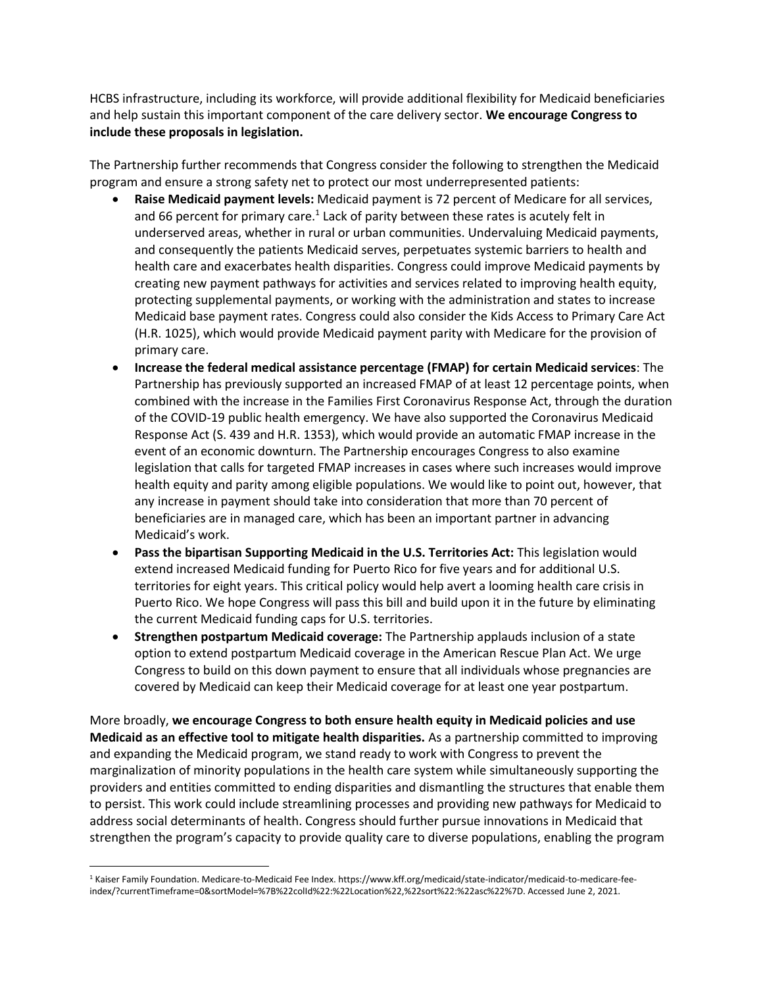HCBS infrastructure, including its workforce, will provide additional flexibility for Medicaid beneficiaries and help sustain this important component of the care delivery sector. **We encourage Congress to include these proposals in legislation.** 

The Partnership further recommends that Congress consider the following to strengthen the Medicaid program and ensure a strong safety net to protect our most underrepresented patients:

- **Raise Medicaid payment levels:** Medicaid payment is 72 percent of Medicare for all services, and 66 percent for primary care.<sup>1</sup> Lack of parity between these rates is acutely felt in underserved areas, whether in rural or urban communities. Undervaluing Medicaid payments, and consequently the patients Medicaid serves, perpetuates systemic barriers to health and health care and exacerbates health disparities. Congress could improve Medicaid payments by creating new payment pathways for activities and services related to improving health equity, protecting supplemental payments, or working with the administration and states to increase Medicaid base payment rates. Congress could also consider the Kids Access to Primary Care Act (H.R. 1025), which would provide Medicaid payment parity with Medicare for the provision of primary care.
- **Increase the federal medical assistance percentage (FMAP) for certain Medicaid services**: The Partnership has previously supported an increased FMAP of at least 12 percentage points, when combined with the increase in the Families First Coronavirus Response Act, through the duration of the COVID-19 public health emergency. We have also supported the Coronavirus Medicaid Response Act (S. 439 and H.R. 1353), which would provide an automatic FMAP increase in the event of an economic downturn. The Partnership encourages Congress to also examine legislation that calls for targeted FMAP increases in cases where such increases would improve health equity and parity among eligible populations. We would like to point out, however, that any increase in payment should take into consideration that more than 70 percent of beneficiaries are in managed care, which has been an important partner in advancing Medicaid's work.
- **Pass the bipartisan Supporting Medicaid in the U.S. Territories Act:** This legislation would extend increased Medicaid funding for Puerto Rico for five years and for additional U.S. territories for eight years. This critical policy would help avert a looming health care crisis in Puerto Rico. We hope Congress will pass this bill and build upon it in the future by eliminating the current Medicaid funding caps for U.S. territories.
- **Strengthen postpartum Medicaid coverage:** The Partnership applauds inclusion of a state option to extend postpartum Medicaid coverage in the American Rescue Plan Act. We urge Congress to build on this down payment to ensure that all individuals whose pregnancies are covered by Medicaid can keep their Medicaid coverage for at least one year postpartum.

More broadly, **we encourage Congress to both ensure health equity in Medicaid policies and use Medicaid as an effective tool to mitigate health disparities.** As a partnership committed to improving and expanding the Medicaid program, we stand ready to work with Congress to prevent the marginalization of minority populations in the health care system while simultaneously supporting the providers and entities committed to ending disparities and dismantling the structures that enable them to persist. This work could include streamlining processes and providing new pathways for Medicaid to address social determinants of health. Congress should further pursue innovations in Medicaid that strengthen the program's capacity to provide quality care to diverse populations, enabling the program

<sup>1</sup> Kaiser Family Foundation. Medicare-to-Medicaid Fee Index. https://www.kff.org/medicaid/state-indicator/medicaid-to-medicare-feeindex/?currentTimeframe=0&sortModel=%7B%22colId%22:%22Location%22,%22sort%22:%22asc%22%7D. Accessed June 2, 2021.